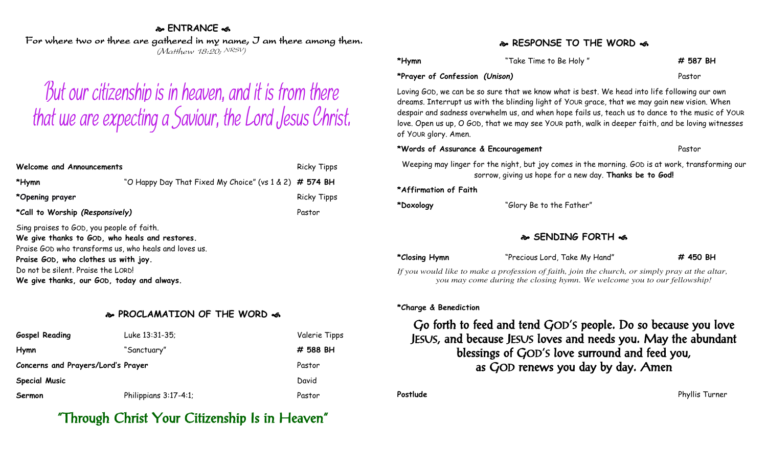#### **ENTRANCE**

For where two or three are gathered in my name, I am there among them. (Matthew 18:20; NRSV)

# But our citizenship is in heaven, and it is from there that we are expecting a Saviour, the Lord Jesus Christ.

| Welcome and Announcements                                                                                                                                                                                                                                                        |                                                          | <b>Ricky Tipps</b> |
|----------------------------------------------------------------------------------------------------------------------------------------------------------------------------------------------------------------------------------------------------------------------------------|----------------------------------------------------------|--------------------|
| *Hymn                                                                                                                                                                                                                                                                            | "O Happy Day That Fixed My Choice" (vs $1 & 2)$ # 574 BH |                    |
| *Opening prayer                                                                                                                                                                                                                                                                  |                                                          | <b>Ricky Tipps</b> |
| *Call to Worship (Responsively)                                                                                                                                                                                                                                                  |                                                          | Pastor             |
| Sing praises to GOD, you people of faith.<br>We give thanks to GOD, who heals and restores.<br>Praise GOD who transforms us, who heals and loves us.<br>Praise GOD, who clothes us with joy.<br>Do not be silent. Praise the LORD!<br>We give thanks, our GOD, today and always. |                                                          |                    |

#### **PROCLAMATION OF THE WORD**

| <b>Gospel Reading</b>              | Luke 13:31-35;        | Valerie Tipps |
|------------------------------------|-----------------------|---------------|
| Hymn                               | "Sanctuary"           | # 588 BH      |
| Concerns and Prayers/Lord's Prayer |                       | Pastor        |
| <b>Special Music</b>               |                       | David         |
| Sermon                             | Philippians 3:17-4:1; | Pastor        |

# "Through Christ Your Citizenship Is in Heaven"

#### **RESPONSE TO THE WORD**

| *Hymn                          | "Take Time to Be Holy" | # 587 BH |
|--------------------------------|------------------------|----------|
| *Prayer of Confession (Unison) |                        | Pastor   |

Loving GOD, we can be so sure that we know what is best. We head into life following our own dreams. Interrupt us with the blinding light of YOUR grace, that we may gain new vision. When despair and sadness overwhelm us, and when hope fails us, teach us to dance to the music of YOUR love. Open us up, O GOD, that we may see YOUR path, walk in deeper faith, and be loving witnesses of YOUR glory. Amen.

**\*Words of Assurance & Encouragement** Pastor

Weeping may linger for the night, but joy comes in the morning. GOD is at work, transforming our sorrow, giving us hope for a new day. **Thanks be to God!**

**\*Affirmation of Faith**

**\*Doxology** "Glory Be to the Father"

#### **SENDING FORTH**

**\*Closing Hymn** "Precious Lord, Take My Hand" **# 450 BH**

*If you would like to make a profession of faith, join the church, or simply pray at the altar, you may come during the closing hymn. We welcome you to our fellowship!*

#### **\*Charge & Benediction**

### Go forth to feed and tend GOD'S people. Do so because you love JESUS, and because JESUS loves and needs you. May the abundant blessings of GOD'S love surround and feed you, as GOD renews you day by day. Amen

**Postlude** Phyllis Turner